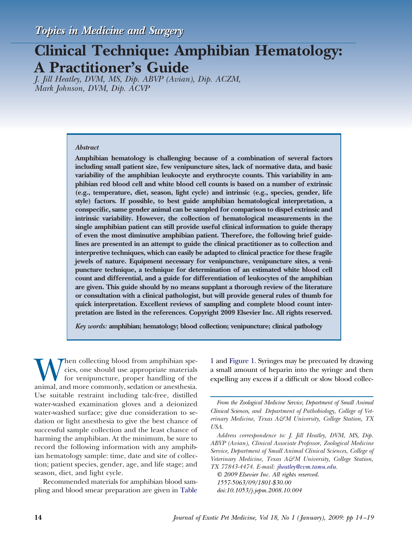# **Clinical Technique: Amphibian Hematology: A Practitioner's Guide**

*J. Jill Heatley, DVM, MS, Dip. ABVP (Avian), Dip. ACZM, Mark Johnson, DVM, Dip. ACVP*

#### *Abstract*

**Amphibian hematology is challenging because of a combination of several factors including small patient size, few venipuncture sites, lack of normative data, and basic variability of the amphibian leukocyte and erythrocyte counts. This variability in amphibian red blood cell and white blood cell counts is based on a number of extrinsic (e.g., temperature, diet, season, light cycle) and intrinsic (e.g., species, gender, life style) factors. If possible, to best guide amphibian hematological interpretation, a conspecific, same gender animal can be sampled for comparison to dispel extrinsic and intrinsic variability. However, the collection of hematological measurements in the single amphibian patient can still provide useful clinical information to guide therapy of even the most diminutive amphibian patient. Therefore, the following brief guidelines are presented in an attempt to guide the clinical practitioner as to collection and interpretive techniques, which can easily be adapted to clinical practice for these fragile jewels of nature. Equipment necessary for venipuncture, venipuncture sites, a venipuncture technique, a technique for determination of an estimated white blood cell count and differential, and a guide for differentiation of leukocytes of the amphibian are given. This guide should by no means supplant a thorough review of the literature or consultation with a clinical pathologist, but will provide general rules of thumb for quick interpretation. Excellent reviews of sampling and complete blood count interpretation are listed in the references. Copyright 2009 Elsevier Inc. All rights reserved.**

*Key words:* **amphibian; hematology; blood collection; venipuncture; clinical pathology**

Then collecting blood from amphibian species, one should use appropriate materials for venipuncture, proper handling of the animal, and more commonly, sedation or anesthesia. Use suitable restraint including talc-free, distilled water-washed examination gloves and a deionized water-washed surface; give due consideration to sedation or light anesthesia to give the best chance of successful sample collection and the least chance of harming the amphibian. At the minimum, be sure to record the following information with any amphibian hematology sample: time, date and site of collection; patient species, gender, age, and life stage; and season, diet, and light cycle.

Recommended materials for amphibian blood sampling and blood smear preparation are given in Table 1 and Figure 1. Syringes may be precoated by drawing a small amount of heparin into the syringe and then expelling any excess if a difficult or slow blood collec-

*© 2009 Elsevier Inc. All rights reserved. 1557-5063/09/1801-\$30.00 doi:10.1053/j.jepm.2008.10.004*

*From the Zoological Medicine Service, Department of Small Animal Clinical Sciences, and Department of Pathobiology, College of Veterinary Medicine, Texas A&M University, College Station, TX USA.*

*Address correspondence to: J. Jill Heatley, DVM, MS, Dip. ABVP (Avian), Clinical Associate Professor, Zoological Medicine Service, Department of Small Animal Clinical Sciences, College of Veterinary Medicine, Texas A&M University, College Station, TX 77843-4474. E-mail: [jheatley@cvm.tamu.edu.](mailto:jheatley@cvm.tamu.edu)*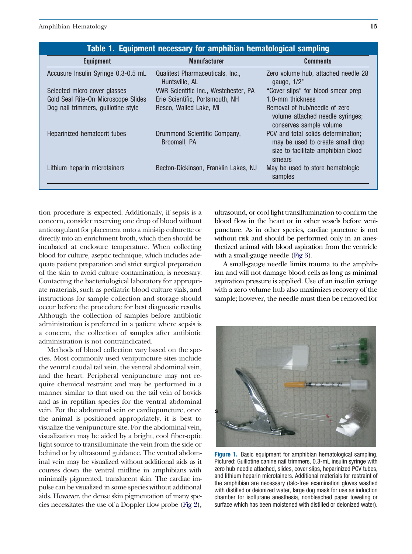| <b>1000 C COMPUTER ROODSULY TO UNIPERFORM ROODSUG SUITPING</b> |                                                                                                                         |  |  |  |
|----------------------------------------------------------------|-------------------------------------------------------------------------------------------------------------------------|--|--|--|
| <b>Manufacturer</b>                                            | <b>Comments</b>                                                                                                         |  |  |  |
| Qualitest Pharmaceuticals, Inc.,<br>Huntsville, AL             | Zero volume hub, attached needle 28<br>gauge, $1/2$ "                                                                   |  |  |  |
| <b>VWR Scientific Inc., Westchester, PA</b>                    | "Cover slips" for blood smear prep                                                                                      |  |  |  |
| Erie Scientific, Portsmouth, NH                                | 1.0-mm thickness                                                                                                        |  |  |  |
| Resco, Walled Lake, MI                                         | Removal of hub/needle of zero<br>volume attached needle syringes;<br>conserves sample volume                            |  |  |  |
| Drummond Scientific Company,<br>Broomall, PA                   | PCV and total solids determination;<br>may be used to create small drop<br>size to facilitate amphibian blood<br>smears |  |  |  |
| Becton-Dickinson, Franklin Lakes, NJ                           | May be used to store hematologic<br>samples                                                                             |  |  |  |
|                                                                |                                                                                                                         |  |  |  |

#### **Table 1. Equipment necessary for amphibian hematological sampling**

tion procedure is expected. Additionally, if sepsis is a concern, consider reserving one drop of blood without anticoagulant for placement onto a mini-tip culturette or directly into an enrichment broth, which then should be incubated at enclosure temperature. When collecting blood for culture, aseptic technique, which includes adequate patient preparation and strict surgical preparation of the skin to avoid culture contamination, is necessary. Contacting the bacteriological laboratory for appropriate materials, such as pediatric blood culture vials, and instructions for sample collection and storage should occur before the procedure for best diagnostic results. Although the collection of samples before antibiotic administration is preferred in a patient where sepsis is a concern, the collection of samples after antibiotic administration is not contraindicated.

Methods of blood collection vary based on the species. Most commonly used venipuncture sites include the ventral caudal tail vein, the ventral abdominal vein, and the heart. Peripheral venipuncture may not require chemical restraint and may be performed in a manner similar to that used on the tail vein of bovids and as in reptilian species for the ventral abdominal vein. For the abdominal vein or cardiopuncture, once the animal is positioned appropriately, it is best to visualize the venipuncture site. For the abdominal vein, visualization may be aided by a bright, cool fiber-optic light source to transilluminate the vein from the side or behind or by ultrasound guidance. The ventral abdominal vein may be visualized without additional aids as it courses down the ventral midline in amphibians with minimally pigmented, translucent skin. The cardiac impulse can be visualized in some species without additional aids. However, the dense skin pigmentation of many species necessitates the use of a Doppler flow probe (Fig 2), ultrasound, or cool light transillumination to confirm the blood flow in the heart or in other vessels before venipuncture. As in other species, cardiac puncture is not without risk and should be performed only in an anesthetized animal with blood aspiration from the ventricle with a small-gauge needle (Fig 3).

A small-gauge needle limits trauma to the amphibian and will not damage blood cells as long as minimal aspiration pressure is applied. Use of an insulin syringe with a zero volume hub also maximizes recovery of the sample; however, the needle must then be removed for



**Figure 1.** Basic equipment for amphibian hematological sampling. Pictured: Guillotine canine nail trimmers, 0.3-mL insulin syringe with zero hub needle attached, slides, cover slips, heparinized PCV tubes, and lithium heparin microtainers. Additional materials for restraint of the amphibian are necessary (talc-free examination gloves washed with distilled or deionized water, large dog mask for use as induction chamber for isoflurane anesthesia, nonbleached paper toweling or surface which has been moistened with distilled or deionized water).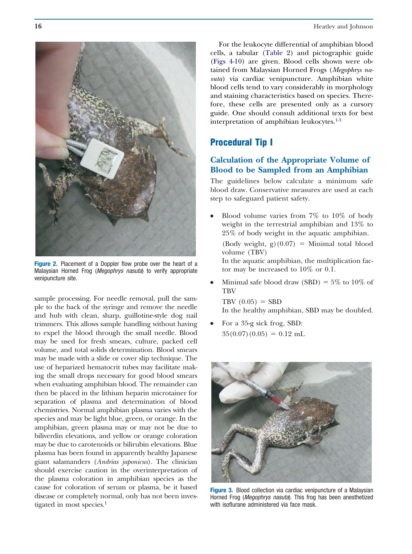

**Figure 2.** Placement of a Doppler flow probe over the heart of a Malaysian Horned Frog (*Megophrys nasuta*) to verify appropriate venipuncture site.

sample processing. For needle removal, pull the sample to the back of the syringe and remove the needle and hub with clean, sharp, guillotine-style dog nail trimmers. This allows sample handling without having to expel the blood through the small needle. Blood may be used for fresh smears, culture, packed cell volume, and total solids determination. Blood smears may be made with a slide or cover slip technique. The use of heparized hematocrit tubes may facilitate making the small drops necessary for good blood smears when evaluating amphibian blood. The remainder can then be placed in the lithium heparin microtainer for separation of plasma and determination of blood chemistries. Normal amphibian plasma varies with the species and may be light blue, green, or orange. In the amphibian, green plasma may or may not be due to biliverdin elevations, and yellow or orange coloration may be due to carotenoids or bilirubin elevations. Blue plasma has been found in apparently healthy Japanese giant salamanders (*Andrias japonicus*). The clinician should exercise caution in the overinterpretation of the plasma coloration in amphibian species as the cause for coloration of serum or plasma, be it based disease or completely normal, only has not been investigated in most species.<sup>1</sup>

For the leukocyte differential of amphibian blood cells, a tabular (Table 2) and pictographic guide (Figs 4-10) are given. Blood cells shown were obtained from Malaysian Horned Frogs (*Megophrys nasuta*) via cardiac venipuncture. Amphibian white blood cells tend to vary considerably in morphology and staining characteristics based on species. Therefore, these cells are presented only as a cursory guide. One should consult additional texts for best interpretation of amphibian leukocytes.<sup>1-3</sup>

# **Procedural Tip I**

## **Calculation of the Appropriate Volume of Blood to be Sampled from an Amphibian**

The guidelines below calculate a minimum safe blood draw. Conservative measures are used at each step to safeguard patient safety.

Blood volume varies from  $7\%$  to  $10\%$  of body weight in the terrestrial amphibian and 13% to 25% of body weight in the aquatic amphibian. (Body weight,  $g(0.07)$  = Minimal total blood

volume (TBV) In the aquatic amphibian, the multiplication factor may be increased to 10% or 0.1.

Minimal safe blood draw (SBD) =  $5\%$  to 10% of TBV

TBV  $(0.05) =$ SBD

In the healthy amphibian, SBD may be doubled.

For a 35-g sick frog, SBD:  $35(0.07)(0.05) = 0.12$  mL



**Figure 3.** Blood collection via cardiac venipuncture of a Malaysian Horned Frog (*Megophrys nasuta*). This frog has been anesthetized with isoflurane administered via face mask.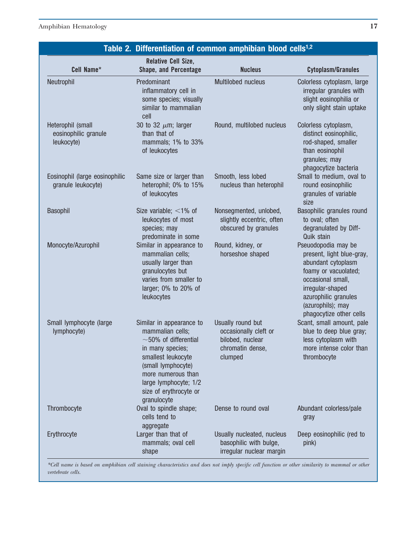Amphibian Hematology **17**

| Cell Name*                                              | <b>Relative Cell Size,</b><br>Shape, and Percentage                                                                                                                                                                                | <b>Nucleus</b>                                                                                | <b>Cytoplasm/Granules</b>                                                                                                                                                                                       |
|---------------------------------------------------------|------------------------------------------------------------------------------------------------------------------------------------------------------------------------------------------------------------------------------------|-----------------------------------------------------------------------------------------------|-----------------------------------------------------------------------------------------------------------------------------------------------------------------------------------------------------------------|
| Neutrophil                                              | Predominant<br>inflammatory cell in<br>some species; visually<br>similar to mammalian<br>cell                                                                                                                                      | Multilobed nucleus                                                                            | Colorless cytoplasm, large<br>irregular granules with<br>slight eosinophilia or<br>only slight stain uptake                                                                                                     |
| Heterophil (small<br>eosinophilic granule<br>leukocyte) | 30 to 32 $\mu$ m; larger<br>than that of<br>mammals; 1% to 33%<br>of leukocytes                                                                                                                                                    | Round, multilobed nucleus                                                                     | Colorless cytoplasm,<br>distinct eosinophilic,<br>rod-shaped, smaller<br>than eosinophil<br>granules; may<br>phagocytize bacteria                                                                               |
| Eosinophil (large eosinophilic<br>granule leukocyte)    | Same size or larger than<br>heterophil; 0% to 15%<br>of leukocytes                                                                                                                                                                 | Smooth, less lobed<br>nucleus than heterophil                                                 | Small to medium, oval to<br>round eosinophilic<br>granules of variable<br>size                                                                                                                                  |
| <b>Basophil</b>                                         | Size variable; $<$ 1% of<br>leukocytes of most<br>species; may<br>predominate in some                                                                                                                                              | Nonsegmented, unlobed,<br>slightly eccentric, often<br>obscured by granules                   | Basophilic granules round<br>to oval; often<br>degranulated by Diff-<br>Quik stain                                                                                                                              |
| Monocyte/Azurophil                                      | Similar in appearance to<br>mammalian cells;<br>usually larger than<br>granulocytes but<br>varies from smaller to<br>larger; 0% to 20% of<br>leukocytes                                                                            | Round, kidney, or<br>horseshoe shaped                                                         | Pseuodopodia may be<br>present, light blue-gray,<br>abundant cytoplasm<br>foamy or vacuolated;<br>occasional small,<br>irregular-shaped<br>azurophilic granules<br>(azurophils); may<br>phagocytize other cells |
| Small lymphocyte (large<br>lymphocyte)                  | Similar in appearance to<br>mammalian cells;<br>$\sim$ 50% of differential<br>in many species;<br>smallest leukocyte<br>(small lymphocyte)<br>more numerous than<br>large lymphocyte; 1/2<br>size of erythrocyte or<br>granulocyte | Usually round but<br>occasionally cleft or<br>bilobed, nuclear<br>chromatin dense,<br>clumped | Scant, small amount, pale<br>blue to deep blue gray;<br>less cytoplasm with<br>more intense color than<br>thrombocyte                                                                                           |
| Thrombocyte                                             | Oval to spindle shape;<br>cells tend to<br>aggregate                                                                                                                                                                               | Dense to round oval                                                                           | Abundant colorless/pale<br>gray                                                                                                                                                                                 |
| Erythrocyte                                             | Larger than that of<br>mammals; oval cell<br>shape                                                                                                                                                                                 | Usually nucleated, nucleus<br>basophilic with bulge,<br>irregular nuclear margin              | Deep eosinophilic (red to<br>pink)                                                                                                                                                                              |

# **Table 2. Differentiation of common amphibian blood cells1,2**

*\*Cell name is based on amphibian cell staining characteristics and does not imply specific cell function or other similarity to mammal or other vertebrate cells.*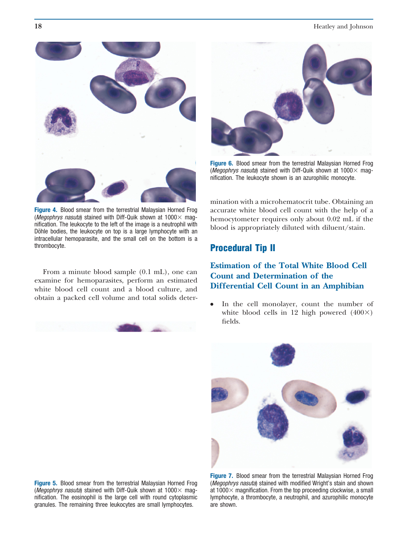

**Figure 4.** Blood smear from the terrestrial Malaysian Horned Frog (Megophrys nasuta) stained with Diff-Quik shown at  $1000 \times$  magnification. The leukocyte to the left of the image is a neutrophil with Döhle bodies, the leukocyte on top is a large lymphocyte with an intracellular hemoparasite, and the small cell on the bottom is a thrombocyte.

From a minute blood sample (0.1 mL), one can examine for hemoparasites, perform an estimated white blood cell count and a blood culture, and obtain a packed cell volume and total solids deter-



**Figure 6.** Blood smear from the terrestrial Malaysian Horned Frog (*Megophrys nasuta*) stained with Diff-Quik shown at 1000 $\times$  magnification. The leukocyte shown is an azurophilic monocyte.

mination with a microhematocrit tube. Obtaining an accurate white blood cell count with the help of a hemocytometer requires only about 0.02 mL if the blood is appropriately diluted with diluent/stain.

## **Procedural Tip II**

# **Estimation of the Total White Blood Cell Count and Determination of the Differential Cell Count in an Amphibian**

● In the cell monolayer, count the number of white blood cells in 12 high powered  $(400\times)$ fields.



**Figure 7.** Blood smear from the terrestrial Malaysian Horned Frog (*Megophrys nasuta*) stained with modified Wright's stain and shown at  $1000 \times$  magnification. From the top proceeding clockwise, a small lymphocyte, a thrombocyte, a neutrophil, and azurophilic monocyte are shown.

**Figure 5.** Blood smear from the terrestrial Malaysian Horned Frog (*Megophrys nasuta*) stained with Diff-Quik shown at 1000 $\times$  magnification. The eosinophil is the large cell with round cytoplasmic granules. The remaining three leukocytes are small lymphocytes.